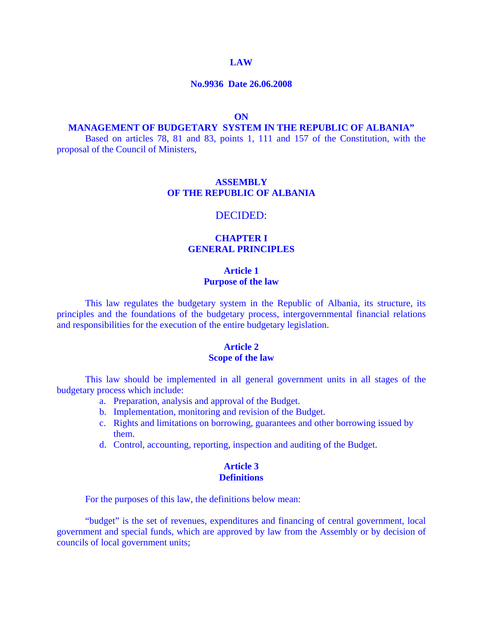#### **LAW**

#### **No.9936 Date 26.06.2008**

#### **ON**

#### **MANAGEMENT OF BUDGETARY SYSTEM IN THE REPUBLIC OF ALBANIA"**

Based on articles 78, 81 and 83, points 1, 111 and 157 of the Constitution, with the proposal of the Council of Ministers,

# **ASSEMBLY OF THE REPUBLIC OF ALBANIA**

#### DECIDED:

# **CHAPTER I GENERAL PRINCIPLES**

### **Article 1 Purpose of the law**

This law regulates the budgetary system in the Republic of Albania, its structure, its principles and the foundations of the budgetary process, intergovernmental financial relations and responsibilities for the execution of the entire budgetary legislation.

### **Article 2 Scope of the law**

 This law should be implemented in all general government units in all stages of the budgetary process which include:

- a. Preparation, analysis and approval of the Budget.
- b. Implementation, monitoring and revision of the Budget.
- c. Rights and limitations on borrowing, guarantees and other borrowing issued by them.
- d. Control, accounting, reporting, inspection and auditing of the Budget.

#### **Article 3 Definitions**

For the purposes of this law, the definitions below mean:

 "budget" is the set of revenues, expenditures and financing of central government, local government and special funds, which are approved by law from the Assembly or by decision of councils of local government units;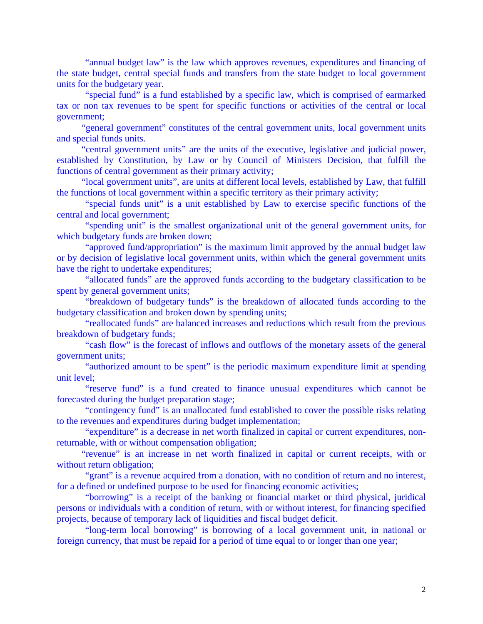"annual budget law" is the law which approves revenues, expenditures and financing of the state budget, central special funds and transfers from the state budget to local government units for the budgetary year.

"special fund" is a fund established by a specific law, which is comprised of earmarked tax or non tax revenues to be spent for specific functions or activities of the central or local government;

 "general government" constitutes of the central government units, local government units and special funds units.

 "central government units" are the units of the executive, legislative and judicial power, established by Constitution, by Law or by Council of Ministers Decision, that fulfill the functions of central government as their primary activity;

 "local government units", are units at different local levels, established by Law, that fulfill the functions of local government within a specific territory as their primary activity;

"special funds unit" is a unit established by Law to exercise specific functions of the central and local government;

"spending unit" is the smallest organizational unit of the general government units, for which budgetary funds are broken down;

 "approved fund/appropriation" is the maximum limit approved by the annual budget law or by decision of legislative local government units, within which the general government units have the right to undertake expenditures;

 "allocated funds" are the approved funds according to the budgetary classification to be spent by general government units;

 "breakdown of budgetary funds" is the breakdown of allocated funds according to the budgetary classification and broken down by spending units;

 "reallocated funds" are balanced increases and reductions which result from the previous breakdown of budgetary funds;

 "cash flow" is the forecast of inflows and outflows of the monetary assets of the general government units;

 "authorized amount to be spent" is the periodic maximum expenditure limit at spending unit level;

"reserve fund" is a fund created to finance unusual expenditures which cannot be forecasted during the budget preparation stage;

"contingency fund" is an unallocated fund established to cover the possible risks relating to the revenues and expenditures during budget implementation;

"expenditure" is a decrease in net worth finalized in capital or current expenditures, nonreturnable, with or without compensation obligation;

"revenue" is an increase in net worth finalized in capital or current receipts, with or without return obligation;

 "grant" is a revenue acquired from a donation, with no condition of return and no interest, for a defined or undefined purpose to be used for financing economic activities;

 "borrowing" is a receipt of the banking or financial market or third physical, juridical persons or individuals with a condition of return, with or without interest, for financing specified projects, because of temporary lack of liquidities and fiscal budget deficit.

 "long-term local borrowing" is borrowing of a local government unit, in national or foreign currency, that must be repaid for a period of time equal to or longer than one year;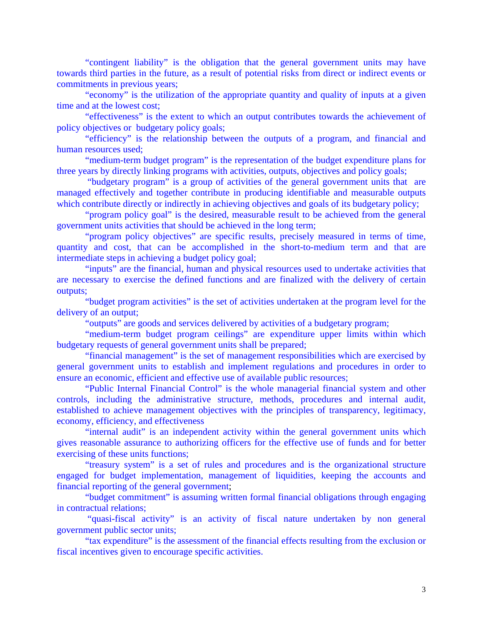"contingent liability" is the obligation that the general government units may have towards third parties in the future, as a result of potential risks from direct or indirect events or commitments in previous years;

 "economy" is the utilization of the appropriate quantity and quality of inputs at a given time and at the lowest cost;

 "effectiveness" is the extent to which an output contributes towards the achievement of policy objectives or budgetary policy goals;

 "efficiency" is the relationship between the outputs of a program, and financial and human resources used;

 "medium-term budget program" is the representation of the budget expenditure plans for three years by directly linking programs with activities, outputs, objectives and policy goals;

 "budgetary program" is a group of activities of the general government units that are managed effectively and together contribute in producing identifiable and measurable outputs which contribute directly or indirectly in achieving objectives and goals of its budgetary policy;

 "program policy goal" is the desired, measurable result to be achieved from the general government units activities that should be achieved in the long term;

 "program policy objectives" are specific results, precisely measured in terms of time, quantity and cost, that can be accomplished in the short-to-medium term and that are intermediate steps in achieving a budget policy goal;

 "inputs" are the financial, human and physical resources used to undertake activities that are necessary to exercise the defined functions and are finalized with the delivery of certain outputs;

 "budget program activities" is the set of activities undertaken at the program level for the delivery of an output;

"outputs" are goods and services delivered by activities of a budgetary program;

"medium-term budget program ceilings" are expenditure upper limits within which budgetary requests of general government units shall be prepared;

 "financial management" is the set of management responsibilities which are exercised by general government units to establish and implement regulations and procedures in order to ensure an economic, efficient and effective use of available public resources;

 "Public Internal Financial Control" is the whole managerial financial system and other controls, including the administrative structure, methods, procedures and internal audit, established to achieve management objectives with the principles of transparency, legitimacy, economy, efficiency, and effectiveness

"internal audit" is an independent activity within the general government units which gives reasonable assurance to authorizing officers for the effective use of funds and for better exercising of these units functions;

 "treasury system" is a set of rules and procedures and is the organizational structure engaged for budget implementation, management of liquidities, keeping the accounts and financial reporting of the general government;

 "budget commitment" is assuming written formal financial obligations through engaging in contractual relations;

 "quasi-fiscal activity" is an activity of fiscal nature undertaken by non general government public sector units;

"tax expenditure" is the assessment of the financial effects resulting from the exclusion or fiscal incentives given to encourage specific activities.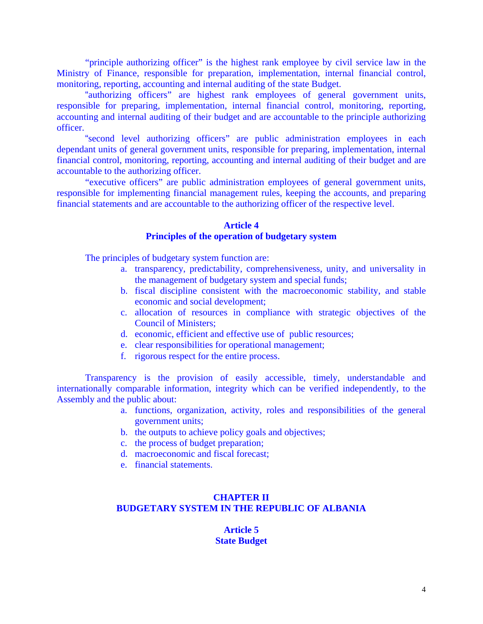"principle authorizing officer" is the highest rank employee by civil service law in the Ministry of Finance, responsible for preparation, implementation, internal financial control, monitoring, reporting, accounting and internal auditing of the state Budget.

 "authorizing officers" are highest rank employees of general government units, responsible for preparing, implementation, internal financial control, monitoring, reporting, accounting and internal auditing of their budget and are accountable to the principle authorizing officer.

 "second level authorizing officers" are public administration employees in each dependant units of general government units, responsible for preparing, implementation, internal financial control, monitoring, reporting, accounting and internal auditing of their budget and are accountable to the authorizing officer.

"executive officers" are public administration employees of general government units, responsible for implementing financial management rules, keeping the accounts, and preparing financial statements and are accountable to the authorizing officer of the respective level.

### **Article 4 Principles of the operation of budgetary system**

The principles of budgetary system function are:

- a. transparency, predictability, comprehensiveness, unity, and universality in the management of budgetary system and special funds;
- b. fiscal discipline consistent with the macroeconomic stability, and stable economic and social development;
- c. allocation of resources in compliance with strategic objectives of the Council of Ministers;
- d. economic, efficient and effective use of public resources;
- e. clear responsibilities for operational management;
- f. rigorous respect for the entire process.

 Transparency is the provision of easily accessible, timely, understandable and internationally comparable information, integrity which can be verified independently, to the Assembly and the public about:

- a. functions, organization, activity, roles and responsibilities of the general government units;
- b. the outputs to achieve policy goals and objectives;
- c. the process of budget preparation;
- d. macroeconomic and fiscal forecast;
- e. financial statements.

#### **CHAPTER II BUDGETARY SYSTEM IN THE REPUBLIC OF ALBANIA**

# **Article 5 State Budget**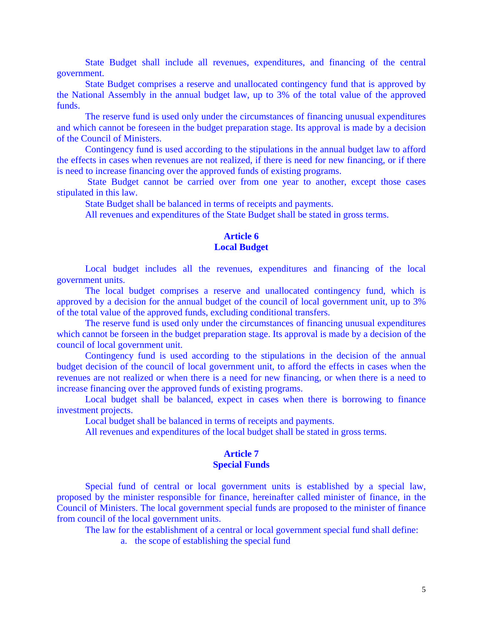State Budget shall include all revenues, expenditures, and financing of the central government.

State Budget comprises a reserve and unallocated contingency fund that is approved by the National Assembly in the annual budget law, up to 3% of the total value of the approved funds.

 The reserve fund is used only under the circumstances of financing unusual expenditures and which cannot be foreseen in the budget preparation stage. Its approval is made by a decision of the Council of Ministers.

 Contingency fund is used according to the stipulations in the annual budget law to afford the effects in cases when revenues are not realized, if there is need for new financing, or if there is need to increase financing over the approved funds of existing programs.

 State Budget cannot be carried over from one year to another, except those cases stipulated in this law.

State Budget shall be balanced in terms of receipts and payments.

All revenues and expenditures of the State Budget shall be stated in gross terms.

# **Article 6 Local Budget**

Local budget includes all the revenues, expenditures and financing of the local government units.

The local budget comprises a reserve and unallocated contingency fund, which is approved by a decision for the annual budget of the council of local government unit, up to 3% of the total value of the approved funds, excluding conditional transfers.

 The reserve fund is used only under the circumstances of financing unusual expenditures which cannot be forseen in the budget preparation stage. Its approval is made by a decision of the council of local government unit.

 Contingency fund is used according to the stipulations in the decision of the annual budget decision of the council of local government unit, to afford the effects in cases when the revenues are not realized or when there is a need for new financing, or when there is a need to increase financing over the approved funds of existing programs.

Local budget shall be balanced, expect in cases when there is borrowing to finance investment projects.

Local budget shall be balanced in terms of receipts and payments.

All revenues and expenditures of the local budget shall be stated in gross terms.

#### **Article 7 Special Funds**

Special fund of central or local government units is established by a special law, proposed by the minister responsible for finance, hereinafter called minister of finance, in the Council of Ministers. The local government special funds are proposed to the minister of finance from council of the local government units.

The law for the establishment of a central or local government special fund shall define:

a. the scope of establishing the special fund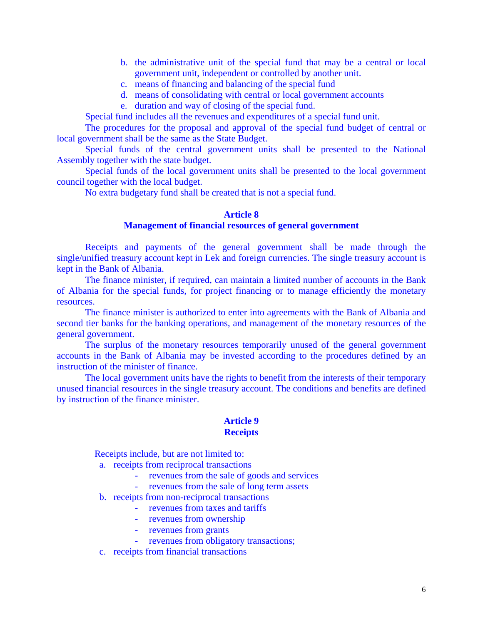- b. the administrative unit of the special fund that may be a central or local government unit, independent or controlled by another unit.
- c. means of financing and balancing of the special fund
- d. means of consolidating with central or local government accounts
- e. duration and way of closing of the special fund.

Special fund includes all the revenues and expenditures of a special fund unit.

 The procedures for the proposal and approval of the special fund budget of central or local government shall be the same as the State Budget.

 Special funds of the central government units shall be presented to the National Assembly together with the state budget.

 Special funds of the local government units shall be presented to the local government council together with the local budget.

No extra budgetary fund shall be created that is not a special fund.

### **Article 8**

# **Management of financial resources of general government**

 Receipts and payments of the general government shall be made through the single/unified treasury account kept in Lek and foreign currencies. The single treasury account is kept in the Bank of Albania.

 The finance minister, if required, can maintain a limited number of accounts in the Bank of Albania for the special funds, for project financing or to manage efficiently the monetary resources.

 The finance minister is authorized to enter into agreements with the Bank of Albania and second tier banks for the banking operations, and management of the monetary resources of the general government.

 The surplus of the monetary resources temporarily unused of the general government accounts in the Bank of Albania may be invested according to the procedures defined by an instruction of the minister of finance.

 The local government units have the rights to benefit from the interests of their temporary unused financial resources in the single treasury account. The conditions and benefits are defined by instruction of the finance minister.

#### **Article 9 Receipts**

Receipts include, but are not limited to:

- a. receipts from reciprocal transactions
	- revenues from the sale of goods and services
		- revenues from the sale of long term assets
- b. receipts from non-reciprocal transactions
	- revenues from taxes and tariffs
	- revenues from ownership
	- revenues from grants
	- revenues from obligatory transactions;
- c. receipts from financial transactions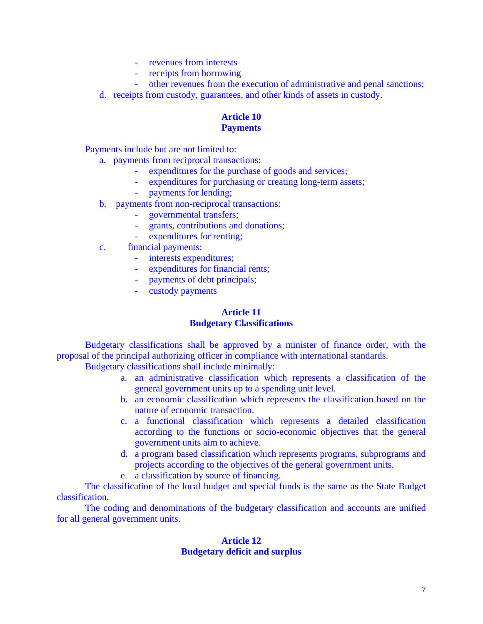- revenues from interests
- receipts from borrowing
- other revenues from the execution of administrative and penal sanctions;
- d. receipts from custody, guarantees, and other kinds of assets in custody.

# **Article 10 Payments**

Payments include but are not limited to:

- a. payments from reciprocal transactions:
	- expenditures for the purchase of goods and services;
	- expenditures for purchasing or creating long-term assets;
	- payments for lending;
- b. payments from non-reciprocal transactions:
	- governmental transfers;
	- grants, contributions and donations;
	- expenditures for renting;
- c. financial payments:
	- interests expenditures;
	- expenditures for financial rents;
	- payments of debt principals;
	- custody payments

### **Article 11 Budgetary Classifications**

 Budgetary classifications shall be approved by a minister of finance order, with the proposal of the principal authorizing officer in compliance with international standards.

Budgetary classifications shall include minimally:

- a. an administrative classification which represents a classification of the general government units up to a spending unit level.
- b. an economic classification which represents the classification based on the nature of economic transaction.
- c. a functional classification which represents a detailed classification according to the functions or socio-economic objectives that the general government units aim to achieve.
- d. a program based classification which represents programs, subprograms and projects according to the objectives of the general government units.
- e. a classification by source of financing.

 The classification of the local budget and special funds is the same as the State Budget classification.

 The coding and denominations of the budgetary classification and accounts are unified for all general government units.

# **Article 12 Budgetary deficit and surplus**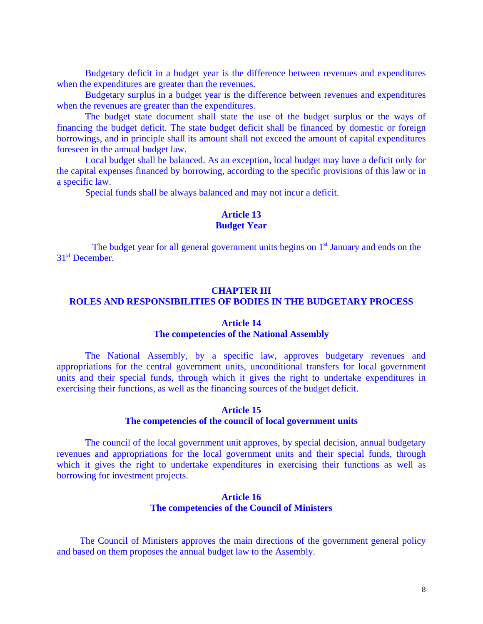Budgetary deficit in a budget year is the difference between revenues and expenditures when the expenditures are greater than the revenues.

 Budgetary surplus in a budget year is the difference between revenues and expenditures when the revenues are greater than the expenditures.

 The budget state document shall state the use of the budget surplus or the ways of financing the budget deficit. The state budget deficit shall be financed by domestic or foreign borrowings, and in principle shall its amount shall not exceed the amount of capital expenditures foreseen in the annual budget law.

Local budget shall be balanced. As an exception, local budget may have a deficit only for the capital expenses financed by borrowing, according to the specific provisions of this law or in a specific law.

Special funds shall be always balanced and may not incur a deficit.

# **Article 13**

# **Budget Year**

The budget year for all general government units begins on  $1<sup>st</sup>$  January and ends on the 31<sup>st</sup> December.

### **CHAPTER III**

# **ROLES AND RESPONSIBILITIES OF BODIES IN THE BUDGETARY PROCESS**

#### **Article 14**

### **The competencies of the National Assembly**

 The National Assembly, by a specific law, approves budgetary revenues and appropriations for the central government units, unconditional transfers for local government units and their special funds, through which it gives the right to undertake expenditures in exercising their functions, as well as the financing sources of the budget deficit.

### **Article 15 The competencies of the council of local government units**

 The council of the local government unit approves, by special decision, annual budgetary revenues and appropriations for the local government units and their special funds, through which it gives the right to undertake expenditures in exercising their functions as well as borrowing for investment projects.

#### **Article 16 The competencies of the Council of Ministers**

The Council of Ministers approves the main directions of the government general policy and based on them proposes the annual budget law to the Assembly.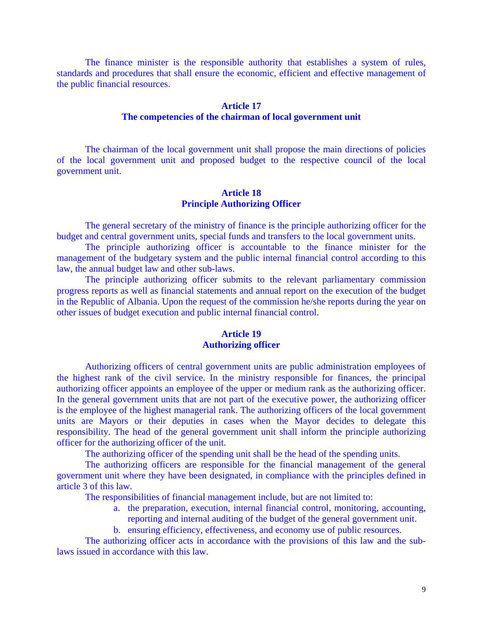The finance minister is the responsible authority that establishes a system of rules, standards and procedures that shall ensure the economic, efficient and effective management of the public financial resources.

# **Article 17**

# **The competencies of the chairman of local government unit**

 The chairman of the local government unit shall propose the main directions of policies of the local government unit and proposed budget to the respective council of the local government unit.

# **Article 18 Principle Authorizing Officer**

The general secretary of the ministry of finance is the principle authorizing officer for the budget and central government units, special funds and transfers to the local government units.

The principle authorizing officer is accountable to the finance minister for the management of the budgetary system and the public internal financial control according to this law, the annual budget law and other sub-laws.

 The principle authorizing officer submits to the relevant parliamentary commission progress reports as well as financial statements and annual report on the execution of the budget in the Republic of Albania. Upon the request of the commission he/she reports during the year on other issues of budget execution and public internal financial control.

# **Article 19 Authorizing officer**

 Authorizing officers of central government units are public administration employees of the highest rank of the civil service. In the ministry responsible for finances, the principal authorizing officer appoints an employee of the upper or medium rank as the authorizing officer. In the general government units that are not part of the executive power, the authorizing officer is the employee of the highest managerial rank. The authorizing officers of the local government units are Mayors or their deputies in cases when the Mayor decides to delegate this responsibility. The head of the general government unit shall inform the principle authorizing officer for the authorizing officer of the unit.

The authorizing officer of the spending unit shall be the head of the spending units.

 The authorizing officers are responsible for the financial management of the general government unit where they have been designated, in compliance with the principles defined in article 3 of this law.

The responsibilities of financial management include, but are not limited to:

- a. the preparation, execution, internal financial control, monitoring, accounting, reporting and internal auditing of the budget of the general government unit.
- b. ensuring efficiency, effectiveness, and economy use of public resources.

 The authorizing officer acts in accordance with the provisions of this law and the sublaws issued in accordance with this law.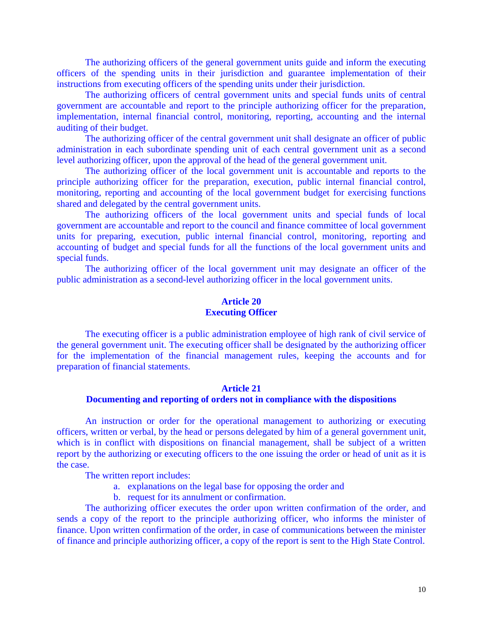The authorizing officers of the general government units guide and inform the executing officers of the spending units in their jurisdiction and guarantee implementation of their instructions from executing officers of the spending units under their jurisdiction.

 The authorizing officers of central government units and special funds units of central government are accountable and report to the principle authorizing officer for the preparation, implementation, internal financial control, monitoring, reporting, accounting and the internal auditing of their budget.

 The authorizing officer of the central government unit shall designate an officer of public administration in each subordinate spending unit of each central government unit as a second level authorizing officer, upon the approval of the head of the general government unit.

 The authorizing officer of the local government unit is accountable and reports to the principle authorizing officer for the preparation, execution, public internal financial control, monitoring, reporting and accounting of the local government budget for exercising functions shared and delegated by the central government units.

 The authorizing officers of the local government units and special funds of local government are accountable and report to the council and finance committee of local government units for preparing, execution, public internal financial control, monitoring, reporting and accounting of budget and special funds for all the functions of the local government units and special funds.

 The authorizing officer of the local government unit may designate an officer of the public administration as a second-level authorizing officer in the local government units.

### **Article 20 Executing Officer**

 The executing officer is a public administration employee of high rank of civil service of the general government unit. The executing officer shall be designated by the authorizing officer for the implementation of the financial management rules, keeping the accounts and for preparation of financial statements.

### **Article 21 Documenting and reporting of orders not in compliance with the dispositions**

An instruction or order for the operational management to authorizing or executing officers, written or verbal, by the head or persons delegated by him of a general government unit, which is in conflict with dispositions on financial management, shall be subject of a written report by the authorizing or executing officers to the one issuing the order or head of unit as it is the case.

The written report includes:

- a. explanations on the legal base for opposing the order and
- b. request for its annulment or confirmation.

The authorizing officer executes the order upon written confirmation of the order, and sends a copy of the report to the principle authorizing officer, who informs the minister of finance. Upon written confirmation of the order, in case of communications between the minister of finance and principle authorizing officer, a copy of the report is sent to the High State Control.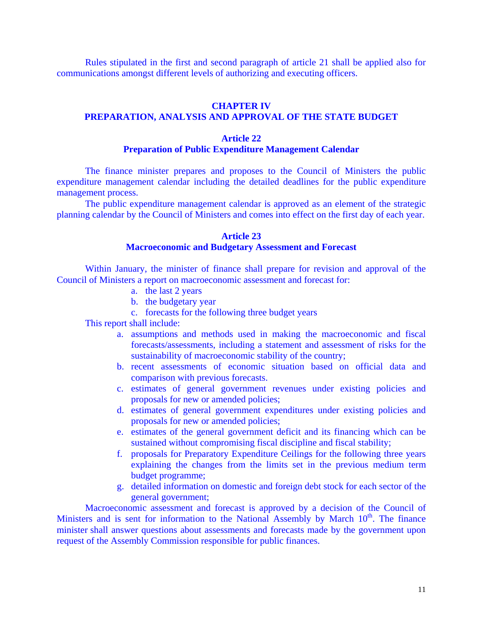Rules stipulated in the first and second paragraph of article 21 shall be applied also for communications amongst different levels of authorizing and executing officers.

# **CHAPTER IV**

# **PREPARATION, ANALYSIS AND APPROVAL OF THE STATE BUDGET**

### **Article 22**

#### **Preparation of Public Expenditure Management Calendar**

 The finance minister prepares and proposes to the Council of Ministers the public expenditure management calendar including the detailed deadlines for the public expenditure management process.

The public expenditure management calendar is approved as an element of the strategic planning calendar by the Council of Ministers and comes into effect on the first day of each year.

#### **Article 23**

# **Macroeconomic and Budgetary Assessment and Forecast**

 Within January, the minister of finance shall prepare for revision and approval of the Council of Ministers a report on macroeconomic assessment and forecast for:

- a. the last 2 years
- b. the budgetary year
- c. forecasts for the following three budget years

This report shall include:

- a. assumptions and methods used in making the macroeconomic and fiscal forecasts/assessments, including a statement and assessment of risks for the sustainability of macroeconomic stability of the country;
- b. recent assessments of economic situation based on official data and comparison with previous forecasts.
- c. estimates of general government revenues under existing policies and proposals for new or amended policies;
- d. estimates of general government expenditures under existing policies and proposals for new or amended policies;
- e. estimates of the general government deficit and its financing which can be sustained without compromising fiscal discipline and fiscal stability;
- f. proposals for Preparatory Expenditure Ceilings for the following three years explaining the changes from the limits set in the previous medium term budget programme;
- g. detailed information on domestic and foreign debt stock for each sector of the general government;

Macroeconomic assessment and forecast is approved by a decision of the Council of Ministers and is sent for information to the National Assembly by March  $10<sup>th</sup>$ . The finance minister shall answer questions about assessments and forecasts made by the government upon request of the Assembly Commission responsible for public finances.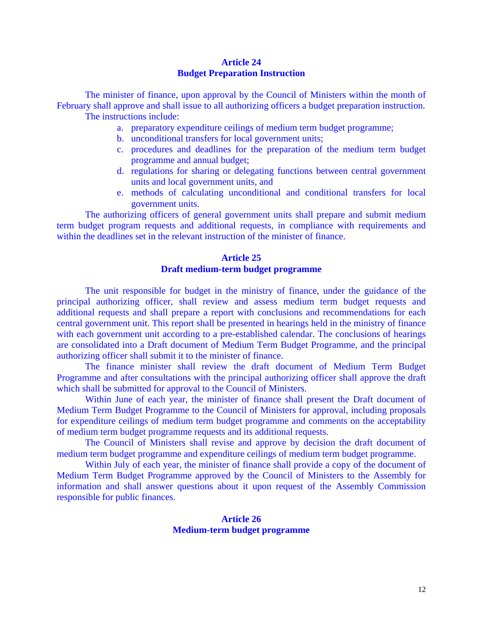# **Article 24 Budget Preparation Instruction**

 The minister of finance, upon approval by the Council of Ministers within the month of February shall approve and shall issue to all authorizing officers a budget preparation instruction. The instructions include:

- a. preparatory expenditure ceilings of medium term budget programme;
- b. unconditional transfers for local government units;
- c. procedures and deadlines for the preparation of the medium term budget programme and annual budget;
- d. regulations for sharing or delegating functions between central government units and local government units, and
- e. methods of calculating unconditional and conditional transfers for local government units.

 The authorizing officers of general government units shall prepare and submit medium term budget program requests and additional requests, in compliance with requirements and within the deadlines set in the relevant instruction of the minister of finance.

# **Article 25 Draft medium-term budget programme**

 The unit responsible for budget in the ministry of finance, under the guidance of the principal authorizing officer, shall review and assess medium term budget requests and additional requests and shall prepare a report with conclusions and recommendations for each central government unit. This report shall be presented in hearings held in the ministry of finance with each government unit according to a pre-established calendar. The conclusions of hearings are consolidated into a Draft document of Medium Term Budget Programme, and the principal authorizing officer shall submit it to the minister of finance.

 The finance minister shall review the draft document of Medium Term Budget Programme and after consultations with the principal authorizing officer shall approve the draft which shall be submitted for approval to the Council of Ministers.

 Within June of each year, the minister of finance shall present the Draft document of Medium Term Budget Programme to the Council of Ministers for approval, including proposals for expenditure ceilings of medium term budget programme and comments on the acceptability of medium term budget programme requests and its additional requests.

 The Council of Ministers shall revise and approve by decision the draft document of medium term budget programme and expenditure ceilings of medium term budget programme.

Within July of each year, the minister of finance shall provide a copy of the document of Medium Term Budget Programme approved by the Council of Ministers to the Assembly for information and shall answer questions about it upon request of the Assembly Commission responsible for public finances.

### **Article 26 Medium-term budget programme**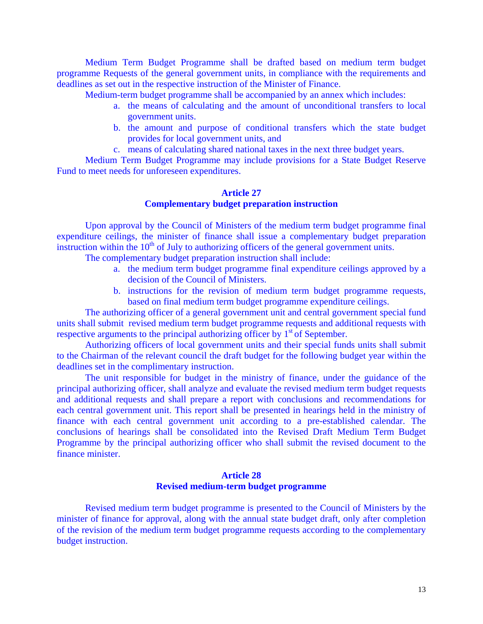Medium Term Budget Programme shall be drafted based on medium term budget programme Requests of the general government units, in compliance with the requirements and deadlines as set out in the respective instruction of the Minister of Finance.

Medium-term budget programme shall be accompanied by an annex which includes:

- a. the means of calculating and the amount of unconditional transfers to local government units.
- b. the amount and purpose of conditional transfers which the state budget provides for local government units, and
- c. means of calculating shared national taxes in the next three budget years.

 Medium Term Budget Programme may include provisions for a State Budget Reserve Fund to meet needs for unforeseen expenditures.

# **Article 27 Complementary budget preparation instruction**

 Upon approval by the Council of Ministers of the medium term budget programme final expenditure ceilings, the minister of finance shall issue a complementary budget preparation instruction within the  $10<sup>th</sup>$  of July to authorizing officers of the general government units.

The complementary budget preparation instruction shall include:

- a. the medium term budget programme final expenditure ceilings approved by a decision of the Council of Ministers.
- b. instructions for the revision of medium term budget programme requests, based on final medium term budget programme expenditure ceilings.

 The authorizing officer of a general government unit and central government special fund units shall submit revised medium term budget programme requests and additional requests with respective arguments to the principal authorizing officer by  $1<sup>st</sup>$  of September.

 Authorizing officers of local government units and their special funds units shall submit to the Chairman of the relevant council the draft budget for the following budget year within the deadlines set in the complimentary instruction.

The unit responsible for budget in the ministry of finance, under the guidance of the principal authorizing officer, shall analyze and evaluate the revised medium term budget requests and additional requests and shall prepare a report with conclusions and recommendations for each central government unit. This report shall be presented in hearings held in the ministry of finance with each central government unit according to a pre-established calendar. The conclusions of hearings shall be consolidated into the Revised Draft Medium Term Budget Programme by the principal authorizing officer who shall submit the revised document to the finance minister.

#### **Article 28 Revised medium-term budget programme**

Revised medium term budget programme is presented to the Council of Ministers by the minister of finance for approval, along with the annual state budget draft, only after completion of the revision of the medium term budget programme requests according to the complementary budget instruction.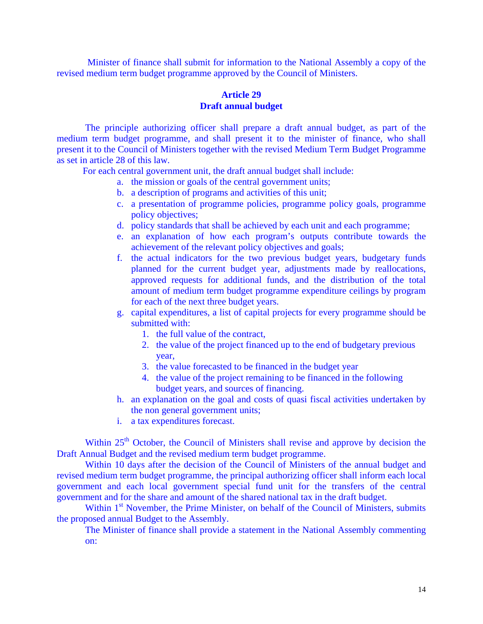Minister of finance shall submit for information to the National Assembly a copy of the revised medium term budget programme approved by the Council of Ministers.

# **Article 29 Draft annual budget**

 The principle authorizing officer shall prepare a draft annual budget, as part of the medium term budget programme, and shall present it to the minister of finance, who shall present it to the Council of Ministers together with the revised Medium Term Budget Programme as set in article 28 of this law.

For each central government unit, the draft annual budget shall include:

- a. the mission or goals of the central government units;
- b. a description of programs and activities of this unit;
- c. a presentation of programme policies, programme policy goals, programme policy objectives;
- d. policy standards that shall be achieved by each unit and each programme;
- e. an explanation of how each program's outputs contribute towards the achievement of the relevant policy objectives and goals;
- f. the actual indicators for the two previous budget years, budgetary funds planned for the current budget year, adjustments made by reallocations, approved requests for additional funds, and the distribution of the total amount of medium term budget programme expenditure ceilings by program for each of the next three budget years.
- g. capital expenditures, a list of capital projects for every programme should be submitted with:
	- 1. the full value of the contract,
	- 2. the value of the project financed up to the end of budgetary previous year,
	- 3. the value forecasted to be financed in the budget year
	- 4. the value of the project remaining to be financed in the following budget years, and sources of financing.
- h. an explanation on the goal and costs of quasi fiscal activities undertaken by the non general government units;
- i. a tax expenditures forecast.

Within 25<sup>th</sup> October, the Council of Ministers shall revise and approve by decision the Draft Annual Budget and the revised medium term budget programme.

 Within 10 days after the decision of the Council of Ministers of the annual budget and revised medium term budget programme, the principal authorizing officer shall inform each local government and each local government special fund unit for the transfers of the central government and for the share and amount of the shared national tax in the draft budget.

Within 1<sup>st</sup> November, the Prime Minister, on behalf of the Council of Ministers, submits the proposed annual Budget to the Assembly.

The Minister of finance shall provide a statement in the National Assembly commenting on: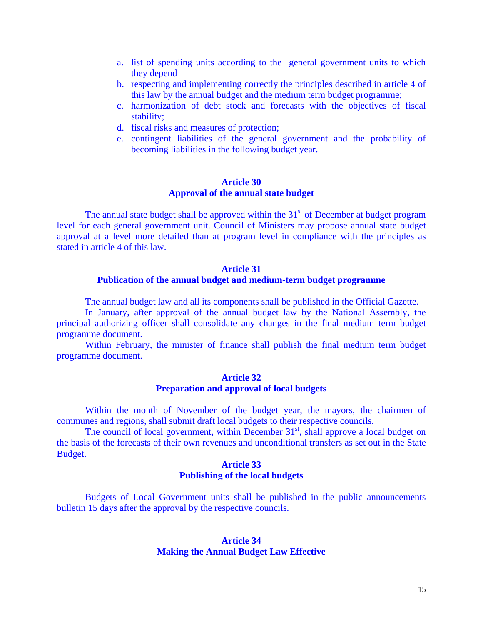- a. list of spending units according to the general government units to which they depend
- b. respecting and implementing correctly the principles described in article 4 of this law by the annual budget and the medium term budget programme;
- c. harmonization of debt stock and forecasts with the objectives of fiscal stability;
- d. fiscal risks and measures of protection;
- e. contingent liabilities of the general government and the probability of becoming liabilities in the following budget year.

### **Article 30 Approval of the annual state budget**

The annual state budget shall be approved within the  $31<sup>st</sup>$  of December at budget program level for each general government unit. Council of Ministers may propose annual state budget approval at a level more detailed than at program level in compliance with the principles as stated in article 4 of this law.

#### **Article 31**

#### **Publication of the annual budget and medium-term budget programme**

The annual budget law and all its components shall be published in the Official Gazette.

In January, after approval of the annual budget law by the National Assembly, the principal authorizing officer shall consolidate any changes in the final medium term budget programme document.

 Within February, the minister of finance shall publish the final medium term budget programme document.

# **Article 32 Preparation and approval of local budgets**

 Within the month of November of the budget year, the mayors, the chairmen of communes and regions, shall submit draft local budgets to their respective councils.

The council of local government, within December  $31<sup>st</sup>$ , shall approve a local budget on the basis of the forecasts of their own revenues and unconditional transfers as set out in the State Budget.

# **Article 33 Publishing of the local budgets**

 Budgets of Local Government units shall be published in the public announcements bulletin 15 days after the approval by the respective councils.

# **Article 34 Making the Annual Budget Law Effective**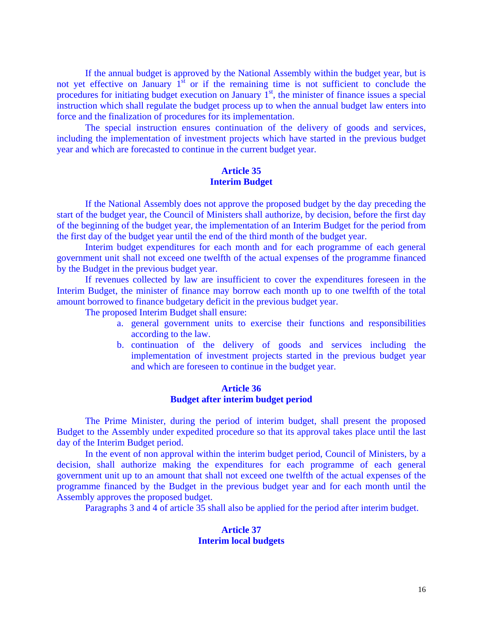If the annual budget is approved by the National Assembly within the budget year, but is not yet effective on January  $1<sup>st</sup>$  or if the remaining time is not sufficient to conclude the procedures for initiating budget execution on January  $1<sup>st</sup>$ , the minister of finance issues a special instruction which shall regulate the budget process up to when the annual budget law enters into force and the finalization of procedures for its implementation.

The special instruction ensures continuation of the delivery of goods and services, including the implementation of investment projects which have started in the previous budget year and which are forecasted to continue in the current budget year.

# **Article 35 Interim Budget**

 If the National Assembly does not approve the proposed budget by the day preceding the start of the budget year, the Council of Ministers shall authorize, by decision, before the first day of the beginning of the budget year, the implementation of an Interim Budget for the period from the first day of the budget year until the end of the third month of the budget year.

 Interim budget expenditures for each month and for each programme of each general government unit shall not exceed one twelfth of the actual expenses of the programme financed by the Budget in the previous budget year.

 If revenues collected by law are insufficient to cover the expenditures foreseen in the Interim Budget, the minister of finance may borrow each month up to one twelfth of the total amount borrowed to finance budgetary deficit in the previous budget year.

The proposed Interim Budget shall ensure:

- a. general government units to exercise their functions and responsibilities according to the law.
- b. continuation of the delivery of goods and services including the implementation of investment projects started in the previous budget year and which are foreseen to continue in the budget year.

#### **Article 36 Budget after interim budget period**

 The Prime Minister, during the period of interim budget, shall present the proposed Budget to the Assembly under expedited procedure so that its approval takes place until the last day of the Interim Budget period.

 In the event of non approval within the interim budget period, Council of Ministers, by a decision, shall authorize making the expenditures for each programme of each general government unit up to an amount that shall not exceed one twelfth of the actual expenses of the programme financed by the Budget in the previous budget year and for each month until the Assembly approves the proposed budget.

Paragraphs 3 and 4 of article 35 shall also be applied for the period after interim budget.

### **Article 37 Interim local budgets**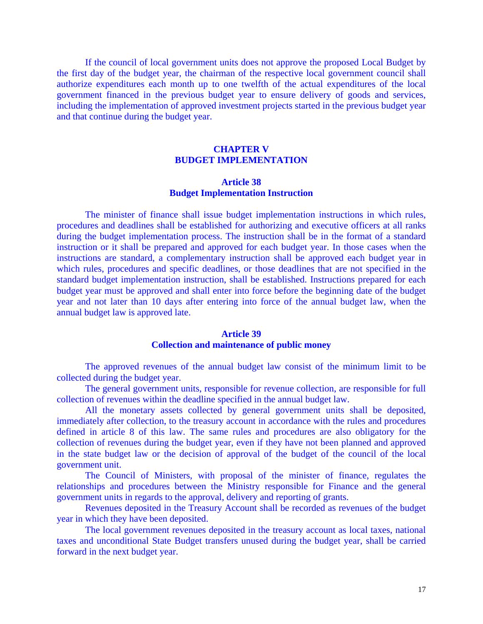If the council of local government units does not approve the proposed Local Budget by the first day of the budget year, the chairman of the respective local government council shall authorize expenditures each month up to one twelfth of the actual expenditures of the local government financed in the previous budget year to ensure delivery of goods and services, including the implementation of approved investment projects started in the previous budget year and that continue during the budget year.

# **CHAPTER V BUDGET IMPLEMENTATION**

# **Article 38 Budget Implementation Instruction**

The minister of finance shall issue budget implementation instructions in which rules, procedures and deadlines shall be established for authorizing and executive officers at all ranks during the budget implementation process. The instruction shall be in the format of a standard instruction or it shall be prepared and approved for each budget year. In those cases when the instructions are standard, a complementary instruction shall be approved each budget year in which rules, procedures and specific deadlines, or those deadlines that are not specified in the standard budget implementation instruction, shall be established. Instructions prepared for each budget year must be approved and shall enter into force before the beginning date of the budget year and not later than 10 days after entering into force of the annual budget law, when the annual budget law is approved late.

#### **Article 39**

#### **Collection and maintenance of public money**

 The approved revenues of the annual budget law consist of the minimum limit to be collected during the budget year.

 The general government units, responsible for revenue collection, are responsible for full collection of revenues within the deadline specified in the annual budget law.

 All the monetary assets collected by general government units shall be deposited, immediately after collection, to the treasury account in accordance with the rules and procedures defined in article 8 of this law. The same rules and procedures are also obligatory for the collection of revenues during the budget year, even if they have not been planned and approved in the state budget law or the decision of approval of the budget of the council of the local government unit.

 The Council of Ministers, with proposal of the minister of finance, regulates the relationships and procedures between the Ministry responsible for Finance and the general government units in regards to the approval, delivery and reporting of grants.

 Revenues deposited in the Treasury Account shall be recorded as revenues of the budget year in which they have been deposited.

 The local government revenues deposited in the treasury account as local taxes, national taxes and unconditional State Budget transfers unused during the budget year, shall be carried forward in the next budget year.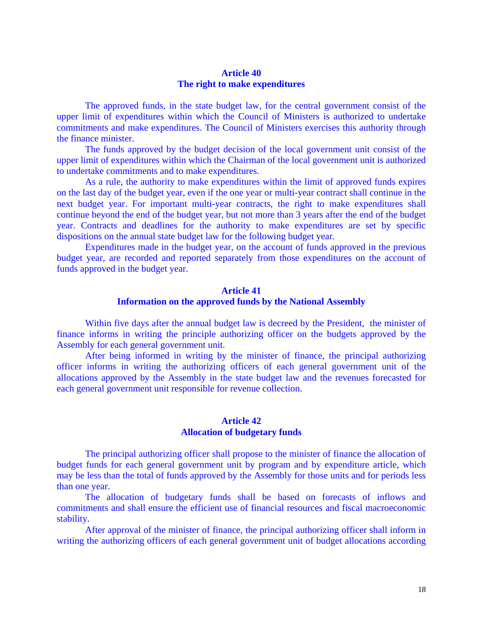### **Article 40 The right to make expenditures**

The approved funds, in the state budget law, for the central government consist of the upper limit of expenditures within which the Council of Ministers is authorized to undertake commitments and make expenditures. The Council of Ministers exercises this authority through the finance minister.

 The funds approved by the budget decision of the local government unit consist of the upper limit of expenditures within which the Chairman of the local government unit is authorized to undertake commitments and to make expenditures.

 As a rule, the authority to make expenditures within the limit of approved funds expires on the last day of the budget year, even if the one year or multi-year contract shall continue in the next budget year. For important multi-year contracts, the right to make expenditures shall continue beyond the end of the budget year, but not more than 3 years after the end of the budget year. Contracts and deadlines for the authority to make expenditures are set by specific dispositions on the annual state budget law for the following budget year.

 Expenditures made in the budget year, on the account of funds approved in the previous budget year, are recorded and reported separately from those expenditures on the account of funds approved in the budget year.

# **Article 41 Information on the approved funds by the National Assembly**

 Within five days after the annual budget law is decreed by the President, the minister of finance informs in writing the principle authorizing officer on the budgets approved by the Assembly for each general government unit.

 After being informed in writing by the minister of finance, the principal authorizing officer informs in writing the authorizing officers of each general government unit of the allocations approved by the Assembly in the state budget law and the revenues forecasted for each general government unit responsible for revenue collection.

#### **Article 42 Allocation of budgetary funds**

 The principal authorizing officer shall propose to the minister of finance the allocation of budget funds for each general government unit by program and by expenditure article, which may be less than the total of funds approved by the Assembly for those units and for periods less than one year.

 The allocation of budgetary funds shall be based on forecasts of inflows and commitments and shall ensure the efficient use of financial resources and fiscal macroeconomic stability.

 After approval of the minister of finance, the principal authorizing officer shall inform in writing the authorizing officers of each general government unit of budget allocations according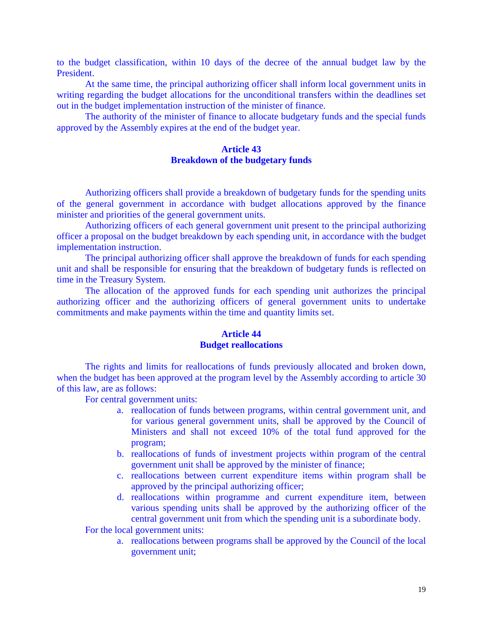to the budget classification, within 10 days of the decree of the annual budget law by the President.

At the same time, the principal authorizing officer shall inform local government units in writing regarding the budget allocations for the unconditional transfers within the deadlines set out in the budget implementation instruction of the minister of finance.

 The authority of the minister of finance to allocate budgetary funds and the special funds approved by the Assembly expires at the end of the budget year.

### **Article 43 Breakdown of the budgetary funds**

 Authorizing officers shall provide a breakdown of budgetary funds for the spending units of the general government in accordance with budget allocations approved by the finance minister and priorities of the general government units.

 Authorizing officers of each general government unit present to the principal authorizing officer a proposal on the budget breakdown by each spending unit, in accordance with the budget implementation instruction.

 The principal authorizing officer shall approve the breakdown of funds for each spending unit and shall be responsible for ensuring that the breakdown of budgetary funds is reflected on time in the Treasury System.

 The allocation of the approved funds for each spending unit authorizes the principal authorizing officer and the authorizing officers of general government units to undertake commitments and make payments within the time and quantity limits set.

# **Article 44 Budget reallocations**

The rights and limits for reallocations of funds previously allocated and broken down, when the budget has been approved at the program level by the Assembly according to article 30 of this law, are as follows:

For central government units:

- a. reallocation of funds between programs, within central government unit, and for various general government units, shall be approved by the Council of Ministers and shall not exceed 10% of the total fund approved for the program;
- b. reallocations of funds of investment projects within program of the central government unit shall be approved by the minister of finance;
- c. reallocations between current expenditure items within program shall be approved by the principal authorizing officer;
- d. reallocations within programme and current expenditure item, between various spending units shall be approved by the authorizing officer of the central government unit from which the spending unit is a subordinate body.

For the local government units:

a. reallocations between programs shall be approved by the Council of the local government unit;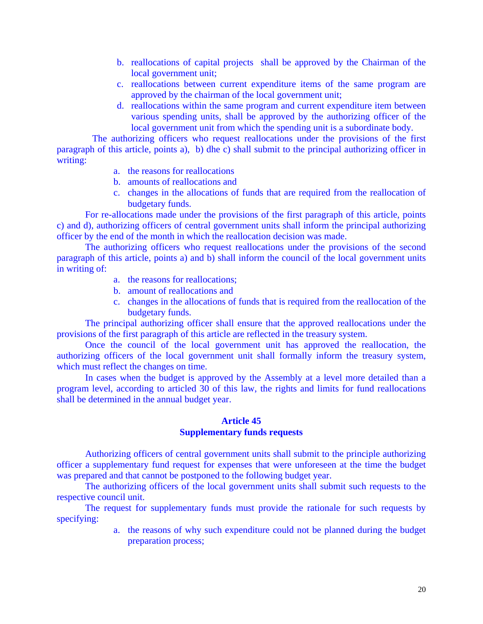- b. reallocations of capital projects shall be approved by the Chairman of the local government unit;
- c. reallocations between current expenditure items of the same program are approved by the chairman of the local government unit;
- d. reallocations within the same program and current expenditure item between various spending units, shall be approved by the authorizing officer of the local government unit from which the spending unit is a subordinate body.

The authorizing officers who request reallocations under the provisions of the first paragraph of this article, points a), b) dhe c) shall submit to the principal authorizing officer in writing:

- a. the reasons for reallocations
- b. amounts of reallocations and
- c. changes in the allocations of funds that are required from the reallocation of budgetary funds.

 For re-allocations made under the provisions of the first paragraph of this article, points c) and d), authorizing officers of central government units shall inform the principal authorizing officer by the end of the month in which the reallocation decision was made.

The authorizing officers who request reallocations under the provisions of the second paragraph of this article, points a) and b) shall inform the council of the local government units in writing of:

- a. the reasons for reallocations;
- b. amount of reallocations and
- c. changes in the allocations of funds that is required from the reallocation of the budgetary funds.

 The principal authorizing officer shall ensure that the approved reallocations under the provisions of the first paragraph of this article are reflected in the treasury system.

 Once the council of the local government unit has approved the reallocation, the authorizing officers of the local government unit shall formally inform the treasury system, which must reflect the changes on time.

In cases when the budget is approved by the Assembly at a level more detailed than a program level, according to articled 30 of this law, the rights and limits for fund reallocations shall be determined in the annual budget year.

#### **Article 45 Supplementary funds requests**

 Authorizing officers of central government units shall submit to the principle authorizing officer a supplementary fund request for expenses that were unforeseen at the time the budget was prepared and that cannot be postponed to the following budget year.

The authorizing officers of the local government units shall submit such requests to the respective council unit.

 The request for supplementary funds must provide the rationale for such requests by specifying:

> a. the reasons of why such expenditure could not be planned during the budget preparation process;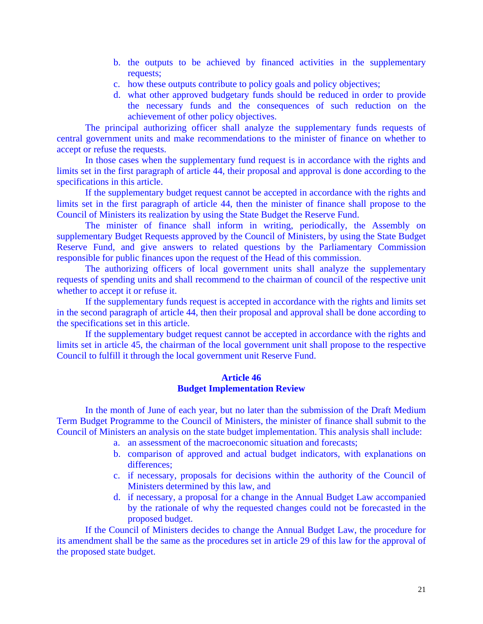- b. the outputs to be achieved by financed activities in the supplementary requests;
- c. how these outputs contribute to policy goals and policy objectives;
- d. what other approved budgetary funds should be reduced in order to provide the necessary funds and the consequences of such reduction on the achievement of other policy objectives.

 The principal authorizing officer shall analyze the supplementary funds requests of central government units and make recommendations to the minister of finance on whether to accept or refuse the requests.

In those cases when the supplementary fund request is in accordance with the rights and limits set in the first paragraph of article 44, their proposal and approval is done according to the specifications in this article.

If the supplementary budget request cannot be accepted in accordance with the rights and limits set in the first paragraph of article 44, then the minister of finance shall propose to the Council of Ministers its realization by using the State Budget the Reserve Fund.

 The minister of finance shall inform in writing, periodically, the Assembly on supplementary Budget Requests approved by the Council of Ministers, by using the State Budget Reserve Fund, and give answers to related questions by the Parliamentary Commission responsible for public finances upon the request of the Head of this commission.

 The authorizing officers of local government units shall analyze the supplementary requests of spending units and shall recommend to the chairman of council of the respective unit whether to accept it or refuse it.

If the supplementary funds request is accepted in accordance with the rights and limits set in the second paragraph of article 44, then their proposal and approval shall be done according to the specifications set in this article.

 If the supplementary budget request cannot be accepted in accordance with the rights and limits set in article 45, the chairman of the local government unit shall propose to the respective Council to fulfill it through the local government unit Reserve Fund.

# **Article 46 Budget Implementation Review**

In the month of June of each year, but no later than the submission of the Draft Medium Term Budget Programme to the Council of Ministers, the minister of finance shall submit to the Council of Ministers an analysis on the state budget implementation. This analysis shall include:

- a. an assessment of the macroeconomic situation and forecasts;
- b. comparison of approved and actual budget indicators, with explanations on differences;
- c. if necessary, proposals for decisions within the authority of the Council of Ministers determined by this law, and
- d. if necessary, a proposal for a change in the Annual Budget Law accompanied by the rationale of why the requested changes could not be forecasted in the proposed budget.

If the Council of Ministers decides to change the Annual Budget Law, the procedure for its amendment shall be the same as the procedures set in article 29 of this law for the approval of the proposed state budget.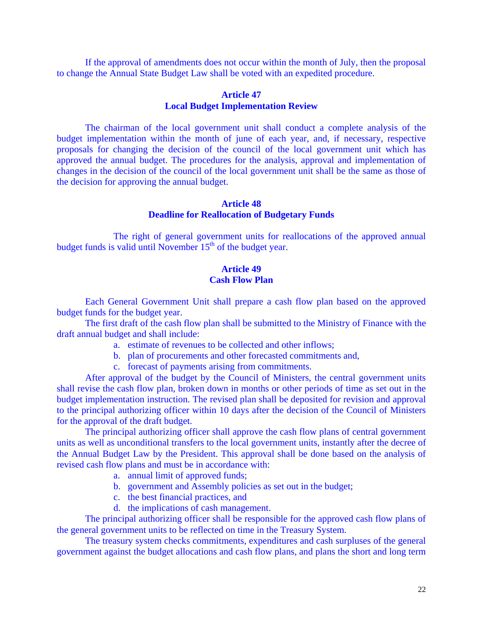If the approval of amendments does not occur within the month of July, then the proposal to change the Annual State Budget Law shall be voted with an expedited procedure.

#### **Article 47 Local Budget Implementation Review**

 The chairman of the local government unit shall conduct a complete analysis of the budget implementation within the month of june of each year, and, if necessary, respective proposals for changing the decision of the council of the local government unit which has approved the annual budget. The procedures for the analysis, approval and implementation of changes in the decision of the council of the local government unit shall be the same as those of the decision for approving the annual budget.

#### **Article 48 Deadline for Reallocation of Budgetary Funds**

 The right of general government units for reallocations of the approved annual budget funds is valid until November  $15<sup>th</sup>$  of the budget year.

# **Article 49 Cash Flow Plan**

 Each General Government Unit shall prepare a cash flow plan based on the approved budget funds for the budget year.

 The first draft of the cash flow plan shall be submitted to the Ministry of Finance with the draft annual budget and shall include:

- a. estimate of revenues to be collected and other inflows;
- b. plan of procurements and other forecasted commitments and,
- c. forecast of payments arising from commitments.

 After approval of the budget by the Council of Ministers, the central government units shall revise the cash flow plan, broken down in months or other periods of time as set out in the budget implementation instruction. The revised plan shall be deposited for revision and approval to the principal authorizing officer within 10 days after the decision of the Council of Ministers for the approval of the draft budget.

 The principal authorizing officer shall approve the cash flow plans of central government units as well as unconditional transfers to the local government units, instantly after the decree of the Annual Budget Law by the President. This approval shall be done based on the analysis of revised cash flow plans and must be in accordance with:

- a. annual limit of approved funds;
- b. government and Assembly policies as set out in the budget;
- c. the best financial practices, and
- d. the implications of cash management.

 The principal authorizing officer shall be responsible for the approved cash flow plans of the general government units to be reflected on time in the Treasury System.

 The treasury system checks commitments, expenditures and cash surpluses of the general government against the budget allocations and cash flow plans, and plans the short and long term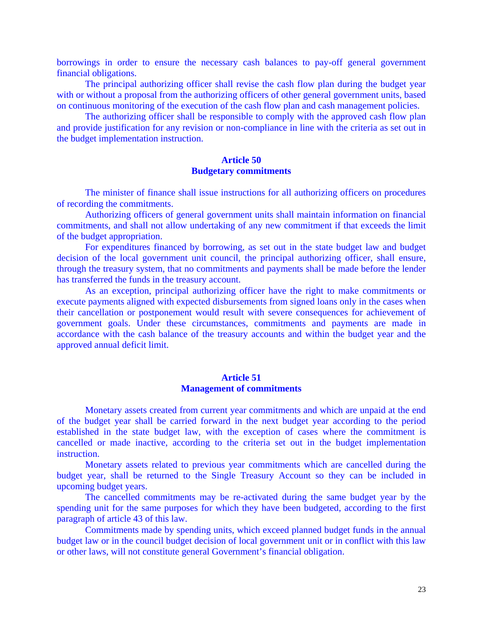borrowings in order to ensure the necessary cash balances to pay-off general government financial obligations.

 The principal authorizing officer shall revise the cash flow plan during the budget year with or without a proposal from the authorizing officers of other general government units, based on continuous monitoring of the execution of the cash flow plan and cash management policies.

 The authorizing officer shall be responsible to comply with the approved cash flow plan and provide justification for any revision or non-compliance in line with the criteria as set out in the budget implementation instruction.

# **Article 50 Budgetary commitments**

 The minister of finance shall issue instructions for all authorizing officers on procedures of recording the commitments.

 Authorizing officers of general government units shall maintain information on financial commitments, and shall not allow undertaking of any new commitment if that exceeds the limit of the budget appropriation.

 For expenditures financed by borrowing, as set out in the state budget law and budget decision of the local government unit council, the principal authorizing officer, shall ensure, through the treasury system, that no commitments and payments shall be made before the lender has transferred the funds in the treasury account.

 As an exception, principal authorizing officer have the right to make commitments or execute payments aligned with expected disbursements from signed loans only in the cases when their cancellation or postponement would result with severe consequences for achievement of government goals. Under these circumstances, commitments and payments are made in accordance with the cash balance of the treasury accounts and within the budget year and the approved annual deficit limit.

# **Article 51 Management of commitments**

 Monetary assets created from current year commitments and which are unpaid at the end of the budget year shall be carried forward in the next budget year according to the period established in the state budget law, with the exception of cases where the commitment is cancelled or made inactive, according to the criteria set out in the budget implementation instruction.

 Monetary assets related to previous year commitments which are cancelled during the budget year, shall be returned to the Single Treasury Account so they can be included in upcoming budget years.

 The cancelled commitments may be re-activated during the same budget year by the spending unit for the same purposes for which they have been budgeted, according to the first paragraph of article 43 of this law.

 Commitments made by spending units, which exceed planned budget funds in the annual budget law or in the council budget decision of local government unit or in conflict with this law or other laws, will not constitute general Government's financial obligation.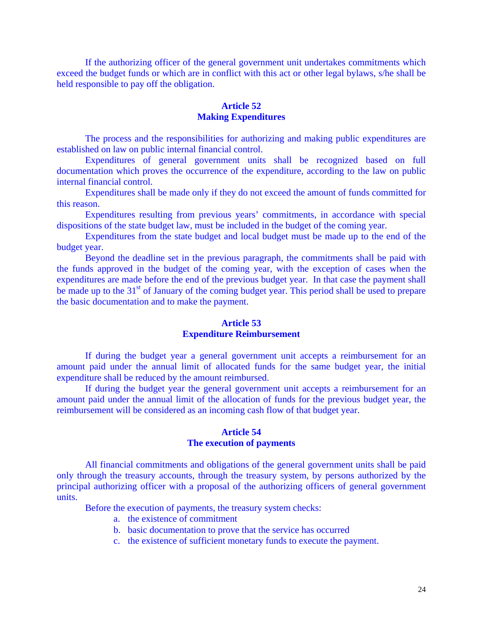If the authorizing officer of the general government unit undertakes commitments which exceed the budget funds or which are in conflict with this act or other legal bylaws, s/he shall be held responsible to pay off the obligation.

# **Article 52 Making Expenditures**

 The process and the responsibilities for authorizing and making public expenditures are established on law on public internal financial control.

 Expenditures of general government units shall be recognized based on full documentation which proves the occurrence of the expenditure, according to the law on public internal financial control.

 Expenditures shall be made only if they do not exceed the amount of funds committed for this reason.

 Expenditures resulting from previous years' commitments, in accordance with special dispositions of the state budget law, must be included in the budget of the coming year.

 Expenditures from the state budget and local budget must be made up to the end of the budget year.

 Beyond the deadline set in the previous paragraph, the commitments shall be paid with the funds approved in the budget of the coming year, with the exception of cases when the expenditures are made before the end of the previous budget year. In that case the payment shall be made up to the 31<sup>st</sup> of January of the coming budget year. This period shall be used to prepare the basic documentation and to make the payment.

# **Article 53 Expenditure Reimbursement**

 If during the budget year a general government unit accepts a reimbursement for an amount paid under the annual limit of allocated funds for the same budget year, the initial expenditure shall be reduced by the amount reimbursed.

 If during the budget year the general government unit accepts a reimbursement for an amount paid under the annual limit of the allocation of funds for the previous budget year, the reimbursement will be considered as an incoming cash flow of that budget year.

#### **Article 54 The execution of payments**

 All financial commitments and obligations of the general government units shall be paid only through the treasury accounts, through the treasury system, by persons authorized by the principal authorizing officer with a proposal of the authorizing officers of general government units.

Before the execution of payments, the treasury system checks:

- a. the existence of commitment
- b. basic documentation to prove that the service has occurred
- c. the existence of sufficient monetary funds to execute the payment.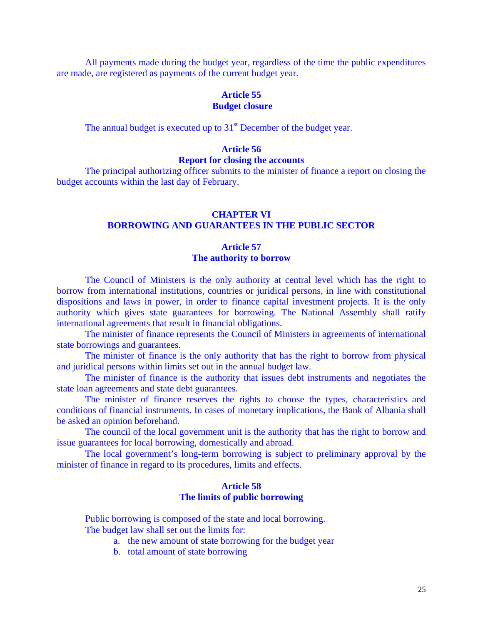All payments made during the budget year, regardless of the time the public expenditures are made, are registered as payments of the current budget year.

### **Article 55 Budget closure**

The annual budget is executed up to 31<sup>st</sup> December of the budget year.

# **Article 56**

# **Report for closing the accounts**

 The principal authorizing officer submits to the minister of finance a report on closing the budget accounts within the last day of February.

# **CHAPTER VI BORROWING AND GUARANTEES IN THE PUBLIC SECTOR**

# **Article 57 The authority to borrow**

 The Council of Ministers is the only authority at central level which has the right to borrow from international institutions, countries or juridical persons, in line with constitutional dispositions and laws in power, in order to finance capital investment projects. It is the only authority which gives state guarantees for borrowing. The National Assembly shall ratify international agreements that result in financial obligations.

 The minister of finance represents the Council of Ministers in agreements of international state borrowings and guarantees.

 The minister of finance is the only authority that has the right to borrow from physical and juridical persons within limits set out in the annual budget law.

 The minister of finance is the authority that issues debt instruments and negotiates the state loan agreements and state debt guarantees.

 The minister of finance reserves the rights to choose the types, characteristics and conditions of financial instruments. In cases of monetary implications, the Bank of Albania shall be asked an opinion beforehand.

 The council of the local government unit is the authority that has the right to borrow and issue guarantees for local borrowing, domestically and abroad.

The local government's long-term borrowing is subject to preliminary approval by the minister of finance in regard to its procedures, limits and effects.

# **Article 58 The limits of public borrowing**

 Public borrowing is composed of the state and local borrowing. The budget law shall set out the limits for:

- a. the new amount of state borrowing for the budget year
- b. total amount of state borrowing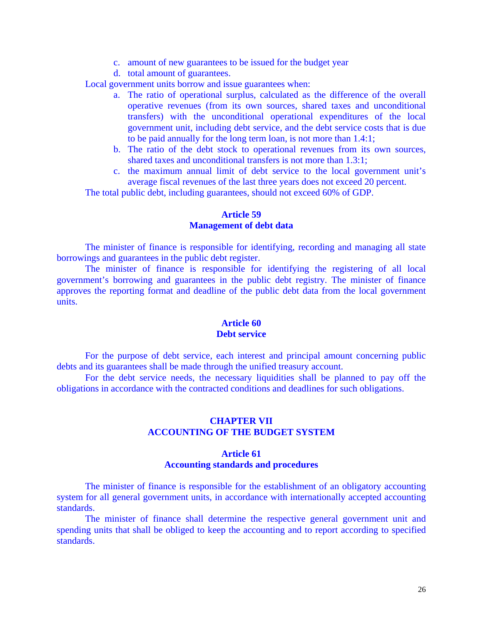- c. amount of new guarantees to be issued for the budget year
- d. total amount of guarantees.

Local government units borrow and issue guarantees when:

- a. The ratio of operational surplus, calculated as the difference of the overall operative revenues (from its own sources, shared taxes and unconditional transfers) with the unconditional operational expenditures of the local government unit, including debt service, and the debt service costs that is due to be paid annually for the long term loan, is not more than 1.4:1;
- b. The ratio of the debt stock to operational revenues from its own sources, shared taxes and unconditional transfers is not more than 1.3:1;
- c. the maximum annual limit of debt service to the local government unit's average fiscal revenues of the last three years does not exceed 20 percent.

The total public debt, including guarantees, should not exceed 60% of GDP.

# **Article 59 Management of debt data**

 The minister of finance is responsible for identifying, recording and managing all state borrowings and guarantees in the public debt register.

 The minister of finance is responsible for identifying the registering of all local government's borrowing and guarantees in the public debt registry. The minister of finance approves the reporting format and deadline of the public debt data from the local government units.

#### **Article 60 Debt service**

 For the purpose of debt service, each interest and principal amount concerning public debts and its guarantees shall be made through the unified treasury account.

 For the debt service needs, the necessary liquidities shall be planned to pay off the obligations in accordance with the contracted conditions and deadlines for such obligations.

# **CHAPTER VII ACCOUNTING OF THE BUDGET SYSTEM**

# **Article 61 Accounting standards and procedures**

 The minister of finance is responsible for the establishment of an obligatory accounting system for all general government units, in accordance with internationally accepted accounting standards.

 The minister of finance shall determine the respective general government unit and spending units that shall be obliged to keep the accounting and to report according to specified standards.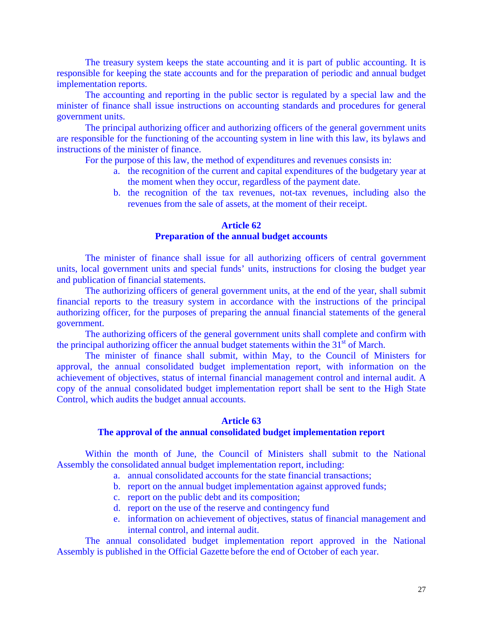The treasury system keeps the state accounting and it is part of public accounting. It is responsible for keeping the state accounts and for the preparation of periodic and annual budget implementation reports.

 The accounting and reporting in the public sector is regulated by a special law and the minister of finance shall issue instructions on accounting standards and procedures for general government units.

 The principal authorizing officer and authorizing officers of the general government units are responsible for the functioning of the accounting system in line with this law, its bylaws and instructions of the minister of finance.

For the purpose of this law, the method of expenditures and revenues consists in:

- a. the recognition of the current and capital expenditures of the budgetary year at the moment when they occur, regardless of the payment date.
- b. the recognition of the tax revenues, not-tax revenues, including also the revenues from the sale of assets, at the moment of their receipt.

# **Article 62 Preparation of the annual budget accounts**

 The minister of finance shall issue for all authorizing officers of central government units, local government units and special funds' units, instructions for closing the budget year and publication of financial statements.

 The authorizing officers of general government units, at the end of the year, shall submit financial reports to the treasury system in accordance with the instructions of the principal authorizing officer, for the purposes of preparing the annual financial statements of the general government.

 The authorizing officers of the general government units shall complete and confirm with the principal authorizing officer the annual budget statements within the  $31<sup>st</sup>$  of March.

 The minister of finance shall submit, within May, to the Council of Ministers for approval, the annual consolidated budget implementation report, with information on the achievement of objectives, status of internal financial management control and internal audit. A copy of the annual consolidated budget implementation report shall be sent to the High State Control, which audits the budget annual accounts.

# **Article 63**

### **The approval of the annual consolidated budget implementation report**

 Within the month of June, the Council of Ministers shall submit to the National Assembly the consolidated annual budget implementation report, including:

- a. annual consolidated accounts for the state financial transactions;
- b. report on the annual budget implementation against approved funds;
- c. report on the public debt and its composition;
- d. report on the use of the reserve and contingency fund
- e. information on achievement of objectives, status of financial management and internal control, and internal audit.

 The annual consolidated budget implementation report approved in the National Assembly is published in the Official Gazette before the end of October of each year.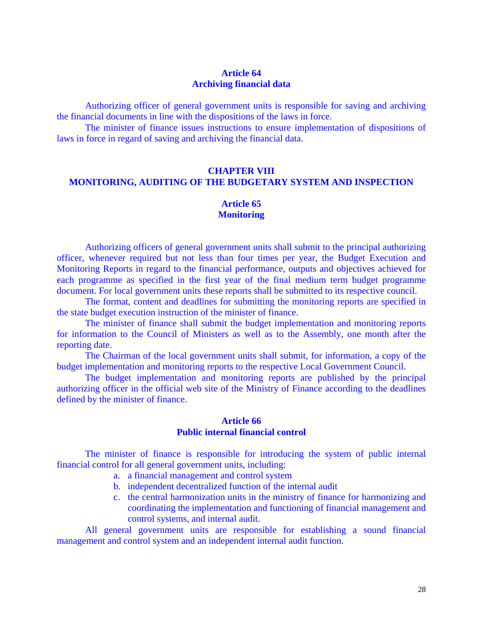# **Article 64 Archiving financial data**

 Authorizing officer of general government units is responsible for saving and archiving the financial documents in line with the dispositions of the laws in force.

 The minister of finance issues instructions to ensure implementation of dispositions of laws in force in regard of saving and archiving the financial data.

# **CHAPTER VIII MONITORING, AUDITING OF THE BUDGETARY SYSTEM AND INSPECTION**

# **Article 65 Monitoring**

 Authorizing officers of general government units shall submit to the principal authorizing officer, whenever required but not less than four times per year, the Budget Execution and Monitoring Reports in regard to the financial performance, outputs and objectives achieved for each programme as specified in the first year of the final medium term budget programme document. For local government units these reports shall be submitted to its respective council.

The format, content and deadlines for submitting the monitoring reports are specified in the state budget execution instruction of the minister of finance.

 The minister of finance shall submit the budget implementation and monitoring reports for information to the Council of Ministers as well as to the Assembly, one month after the reporting date.

 The Chairman of the local government units shall submit, for information, a copy of the budget implementation and monitoring reports to the respective Local Government Council.

 The budget implementation and monitoring reports are published by the principal authorizing officer in the official web site of the Ministry of Finance according to the deadlines defined by the minister of finance.

#### **Article 66 Public internal financial control**

 The minister of finance is responsible for introducing the system of public internal financial control for all general government units, including:

- a. a financial management and control system
- b. independent decentralized function of the internal audit
- c. the central harmonization units in the ministry of finance for harmonizing and coordinating the implementation and functioning of financial management and control systems, and internal audit.

 All general government units are responsible for establishing a sound financial management and control system and an independent internal audit function.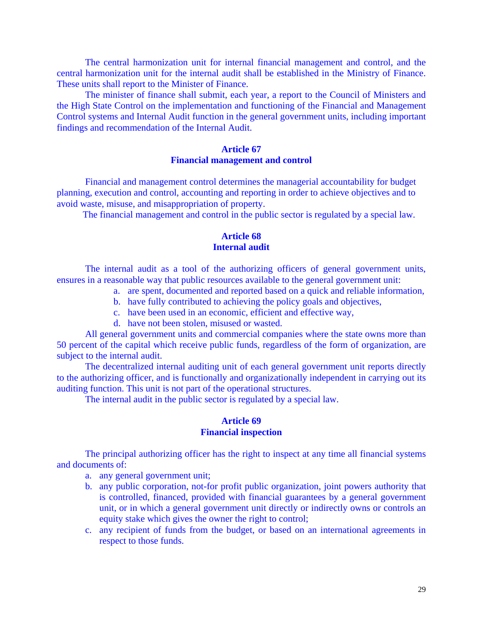The central harmonization unit for internal financial management and control, and the central harmonization unit for the internal audit shall be established in the Ministry of Finance. These units shall report to the Minister of Finance.

The minister of finance shall submit, each year, a report to the Council of Ministers and the High State Control on the implementation and functioning of the Financial and Management Control systems and Internal Audit function in the general government units, including important findings and recommendation of the Internal Audit.

#### **Article 67 Financial management and control**

Financial and management control determines the managerial accountability for budget planning, execution and control, accounting and reporting in order to achieve objectives and to avoid waste, misuse, and misappropriation of property.

The financial management and control in the public sector is regulated by a special law.

# **Article 68 Internal audit**

 The internal audit as a tool of the authorizing officers of general government units, ensures in a reasonable way that public resources available to the general government unit:

- a. are spent, documented and reported based on a quick and reliable information,
- b. have fully contributed to achieving the policy goals and objectives,
- c. have been used in an economic, efficient and effective way,
- d. have not been stolen, misused or wasted.

 All general government units and commercial companies where the state owns more than 50 percent of the capital which receive public funds, regardless of the form of organization, are subject to the internal audit.

 The decentralized internal auditing unit of each general government unit reports directly to the authorizing officer, and is functionally and organizationally independent in carrying out its auditing function. This unit is not part of the operational structures.

The internal audit in the public sector is regulated by a special law.

#### **Article 69 Financial inspection**

 The principal authorizing officer has the right to inspect at any time all financial systems and documents of:

- a. any general government unit;
- b. any public corporation, not-for profit public organization, joint powers authority that is controlled, financed, provided with financial guarantees by a general government unit, or in which a general government unit directly or indirectly owns or controls an equity stake which gives the owner the right to control;
- c. any recipient of funds from the budget, or based on an international agreements in respect to those funds.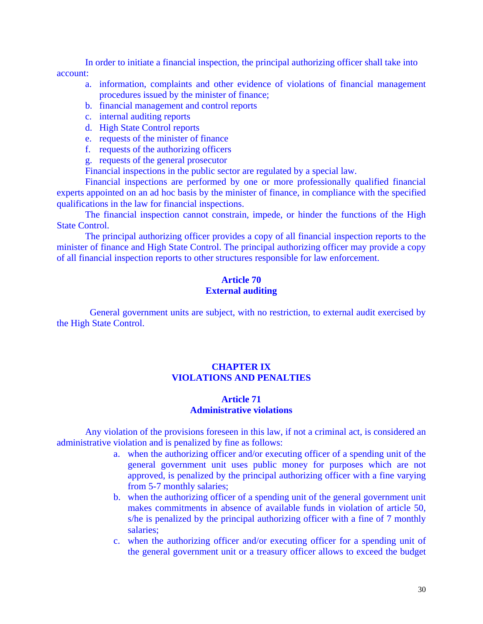In order to initiate a financial inspection, the principal authorizing officer shall take into account:

- a. information, complaints and other evidence of violations of financial management procedures issued by the minister of finance;
- b. financial management and control reports
- c. internal auditing reports
- d. High State Control reports
- e. requests of the minister of finance
- f. requests of the authorizing officers
- g. requests of the general prosecutor

Financial inspections in the public sector are regulated by a special law.

 Financial inspections are performed by one or more professionally qualified financial experts appointed on an ad hoc basis by the minister of finance, in compliance with the specified qualifications in the law for financial inspections.

 The financial inspection cannot constrain, impede, or hinder the functions of the High State Control.

 The principal authorizing officer provides a copy of all financial inspection reports to the minister of finance and High State Control. The principal authorizing officer may provide a copy of all financial inspection reports to other structures responsible for law enforcement.

## **Article 70 External auditing**

 General government units are subject, with no restriction, to external audit exercised by the High State Control.

### **CHAPTER IX VIOLATIONS AND PENALTIES**

# **Article 71 Administrative violations**

 Any violation of the provisions foreseen in this law, if not a criminal act, is considered an administrative violation and is penalized by fine as follows:

- a. when the authorizing officer and/or executing officer of a spending unit of the general government unit uses public money for purposes which are not approved, is penalized by the principal authorizing officer with a fine varying from 5-7 monthly salaries;
- b. when the authorizing officer of a spending unit of the general government unit makes commitments in absence of available funds in violation of article 50, s/he is penalized by the principal authorizing officer with a fine of 7 monthly salaries;
- c. when the authorizing officer and/or executing officer for a spending unit of the general government unit or a treasury officer allows to exceed the budget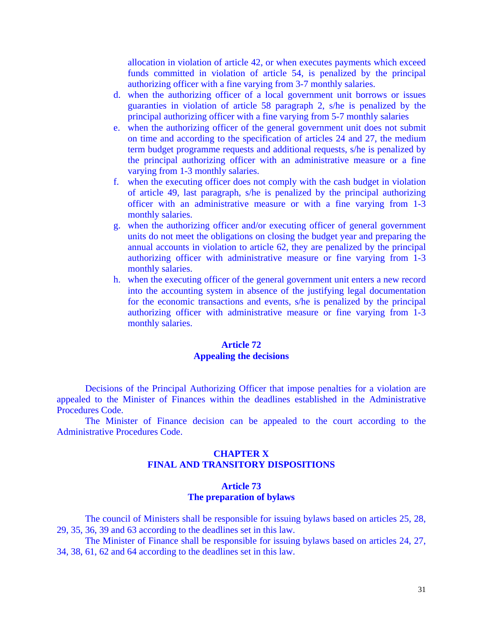allocation in violation of article 42, or when executes payments which exceed funds committed in violation of article 54, is penalized by the principal authorizing officer with a fine varying from 3-7 monthly salaries.

- d. when the authorizing officer of a local government unit borrows or issues guaranties in violation of article 58 paragraph 2, s/he is penalized by the principal authorizing officer with a fine varying from 5-7 monthly salaries
- e. when the authorizing officer of the general government unit does not submit on time and according to the specification of articles 24 and 27, the medium term budget programme requests and additional requests, s/he is penalized by the principal authorizing officer with an administrative measure or a fine varying from 1-3 monthly salaries.
- f. when the executing officer does not comply with the cash budget in violation of article 49, last paragraph, s/he is penalized by the principal authorizing officer with an administrative measure or with a fine varying from 1-3 monthly salaries.
- g. when the authorizing officer and/or executing officer of general government units do not meet the obligations on closing the budget year and preparing the annual accounts in violation to article 62, they are penalized by the principal authorizing officer with administrative measure or fine varying from 1-3 monthly salaries.
- h. when the executing officer of the general government unit enters a new record into the accounting system in absence of the justifying legal documentation for the economic transactions and events, s/he is penalized by the principal authorizing officer with administrative measure or fine varying from 1-3 monthly salaries.

# **Article 72 Appealing the decisions**

Decisions of the Principal Authorizing Officer that impose penalties for a violation are appealed to the Minister of Finances within the deadlines established in the Administrative Procedures Code.

 The Minister of Finance decision can be appealed to the court according to the Administrative Procedures Code.

# **CHAPTER X FINAL AND TRANSITORY DISPOSITIONS**

# **Article 73 The preparation of bylaws**

The council of Ministers shall be responsible for issuing bylaws based on articles 25, 28, 29, 35, 36, 39 and 63 according to the deadlines set in this law.

 The Minister of Finance shall be responsible for issuing bylaws based on articles 24, 27, 34, 38, 61, 62 and 64 according to the deadlines set in this law.